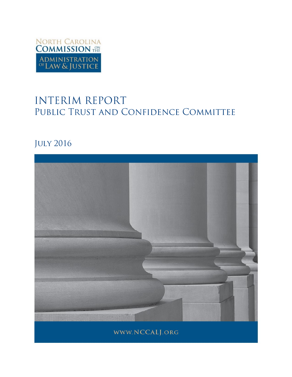

# **INTERIM REPORT** PUBLIC TRUST AND CONFIDENCE COMMITTEE

## **JULY 2016**

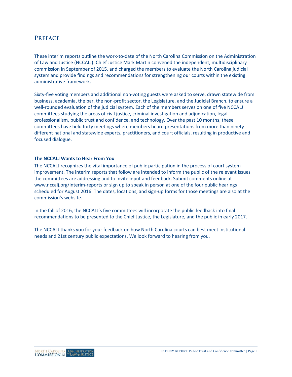## **PREFACE**

These interim reports outline the work-to-date of the North Carolina Commission on the Administration of Law and Justice (NCCALJ). Chief Justice Mark Martin convened the independent, multidisciplinary commission in September of 2015, and charged the members to evaluate the North Carolina judicial system and provide findings and recommendations for strengthening our courts within the existing administrative framework.

Sixty-five voting members and additional non-voting guests were asked to serve, drawn statewide from business, academia, the bar, the non-profit sector, the Legislature, and the Judicial Branch, to ensure a well-rounded evaluation of the judicial system. Each of the members serves on one of five NCCALJ committees studying the areas of civil justice, criminal investigation and adjudication, legal professionalism, public trust and confidence, and technology. Over the past 10 months, these committees have held forty meetings where members heard presentations from more than ninety different national and statewide experts, practitioners, and court officials, resulting in productive and focused dialogue.

#### **The NCCALJ Wants to Hear From You**

The NCCALJ recognizes the vital importance of public participation in the process of court system improvement. The interim reports that follow are intended to inform the public of the relevant issues the committees are addressing and to invite input and feedback. Submit comments online at [www.nccalj.org/interim-reports](file://wfs01.aoc.nccourts.org/Network_Folders/UNIT_Communications/Courts/Session%20Comms/Commission%20on%20the%20Administration%20of%20Law%20and%20Justice/Reports/www.nccalj.org/interim-reports) or sign up to speak in person at one of the four public hearings scheduled for August 2016. The dates, locations, and sign-up forms for those meetings are also at the commission's website.

In the fall of 2016, the NCCALJ's five committees will incorporate the public feedback into final recommendations to be presented to the Chief Justice, the Legislature, and the public in early 2017.

The NCCALJ thanks you for your feedback on how North Carolina courts can best meet institutional needs and 21st century public expectations. We look forward to hearing from you.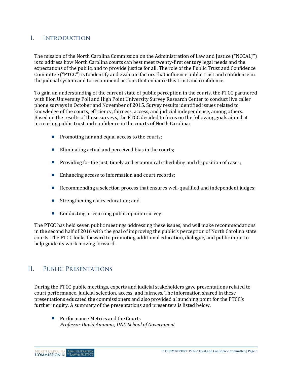#### $\mathbf{I}$ **INTRODUCTION**

The mission of the North Carolina Commission on the Administration of Law and Justice ("NCCALJ") is to address how North Carolina courts can best meet twenty-first century legal needs and the expectations of the public, and to provide justice for all. The role of the Public Trust and Confidence Committee ("PTCC") is to identify and evaluate factors that influence public trust and confidence in the judicial system and to recommend actions that enhance this trust and confidence.

To gain an understanding of the current state of public perception in the courts, the PTCC partnered with Elon University Poll and High Point University Survey Research Center to conduct live caller phone surveys in October and November of 2015. Survey results identified issues related to knowledge of the courts, efficiency, fairness, access, and judicial independence, among others. Based on the results of those surveys, the PTCC decided to focus on the following goals aimed at increasing public trust and confidence in the courts of North Carolina:

- $\blacksquare$  Promoting fair and equal access to the courts;
- Eliminating actual and perceived bias in the courts;
- **Providing for the just, timely and economical scheduling and disposition of cases;**
- Enhancing access to information and court records;
- Recommending a selection process that ensures well-qualified and independent judges;
- $\blacksquare$  Strengthening civics education; and
- Conducting a recurring public opinion survey.

The PTCC has held seven public meetings addressing these issues, and will make recommendations in the second half of 2016 with the goal of improving the public's perception of North Carolina state courts. The PTCC looks forward to promoting additional education, dialogue, and public input to help guide its work moving forward.

#### $II.$ PUBLIC PRESENTATIONS

During the PTCC public meetings, experts and judicial stakeholders gave presentations related to court performance, judicial selection, access, and fairness. The information shared in these presentations educated the commissioners and also provided a launching point for the PTCC's further inquiry. A summary of the presentations and presenters is listed below.

**Performance Metrics and the Courts** *Professor David Ammons, UNC School of Government*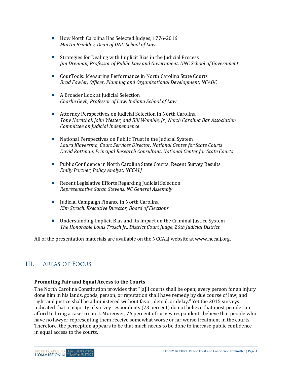- How North Carolina Has Selected Judges, 1776-2016 *Martin Brinkley, Dean of UNC School of Law*
- Strategies for Dealing with Implicit Bias in the Judicial Process *Jim Drennan, Professor of Public Law and Government, UNC School of Government*
- CourTools: Measuring Performance in North Carolina State Courts *Brad Fowler, Officer, Planning and Organizational Development, NCAOC*
- A Broader Look at Iudicial Selection *Charlie Geyh, Professor of Law, Indiana School of Law*
- Attorney Perspectives on Judicial Selection in North Carolina *Tony Hornthal, John Wester, and Bill Womble, Jr., North Carolina Bar Association Committee on Judicial Independence*
- National Perspectives on Public Trust in the Judicial System *Laura Klaversma, Court Services Director, National Center for State Courts David Rottman, Principal Research Consultant, National Center for State Courts*
- **Public Confidence in North Carolina State Courts: Recent Survey Results** *Emily Portner, Policy Analyst, NCCALJ*
- Recent Legislative Efforts Regarding Judicial Selection *Representative Sarah Stevens, NC General Assembly*
- Judicial Campaign Finance in North Carolina *Kim Strach, Executive Director, Board of Elections*
- Understanding Implicit Bias and Its Impact on the Criminal Justice System *The Honorable Louis Trosch Jr., District Court Judge, 26th Judicial District*

All of the presentation materials are available on the NCCALJ website at www[.nccalj.org.](http://nccalj.org/)

#### $III.$ **AREAS OF FOCUS**

#### **Promoting Fair and Equal Access to the Courts**

The North Carolina Constitution provides that "[a]ll courts shall be open; every person for an injury done him in his lands, goods, person, or reputation shall have remedy by due course of law; and right and justice shall be administered without favor, denial, or delay." Yet the 2015 surveys indicated that a majority of survey respondents (73 percent) do not believe that most people can afford to bring a case to court. Moreover, 76 percent of survey respondents believe that people who have no lawyer representing them receive somewhat worse or far worse treatment in the courts. Therefore, the perception appears to be that much needs to be done to increase public confidence in equal access to the courts.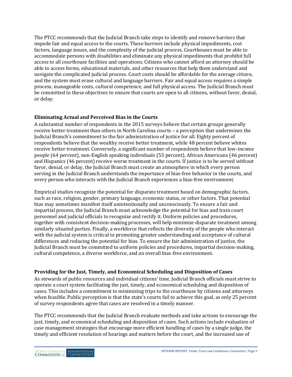The PTCC recommends that the Judicial Branch take steps to identify and remove barriers that impede fair and equal access to the courts. These barriers include physical impediments, cost factors, language issues, and the complexity of the judicial process. Courthouses must be able to accommodate persons with disabilities and eliminate any physical impediments that prohibit full access to all courthouse facilities and operations. Citizens who cannot afford an attorney should be able to access forms, educational materials, and other resources that help them understand and navigate the complicated judicial process. Court costs should be affordable for the average citizen, and the system must erase cultural and language barriers. Fair and equal access requires a simple process, manageable costs, cultural competence, and full physical access. The Judicial Branch must be committed to these objectives to ensure that courts are open to all citizens, without favor, denial, or delay.

#### **Eliminating Actual and Perceived Bias in the Courts**

A substantial number of respondents in the 2015 surveys believe that certain groups generally receive better treatment than others in North Carolina courts – a perception that undermines the Judicial Branch's commitment to the fair administration of justice for all. Eighty percent of respondents believe that the wealthy receive better treatment, while 48 percent believe whites receive better treatment. Conversely, a significant number of respondents believe that low-income people (64 percent), non-English speaking individuals (53 percent), African Americans (46 percent) and Hispanics (46 percent) receive worse treatment in the courts. If justice is to be served without favor, denial, or delay, the Judicial Branch must create an atmosphere in which every person serving in the Judicial Branch understands the importance of bias-free behavior in the courts, and every person who interacts with the Judicial Branch experiences a bias-free environment.

Empirical studies recognize the potential for disparate treatment based on demographic factors, such as race, religion, gender, primary language, economic status, or other factors. That potential bias may sometimes manifest itself unintentionally and unconsciously. To ensure a fair and impartial process, the Judicial Branch must acknowledge the potential for bias and train court personnel and judicial officials to recognize and rectify it. Uniform policies and procedures, together with consistent decision-making processes, will help minimize disparate treatment among similarly situated parties. Finally, a workforce that reflects the diversity of the people who interact with the judicial system is critical to promoting greater understanding and acceptance of cultural differences and reducing the potential for bias. To ensure the fair administration of justice, the Judicial Branch must be committed to uniform policies and procedures, impartial decision-making, cultural competence, a diverse workforce, and an overall bias-free environment.

### **Providing for the Just, Timely, and Economical Scheduling and Disposition of Cases**

As stewards of public resources and individual citizens' time, Judicial Branch officials must strive to operate a court system facilitating the just, timely, and economical scheduling and disposition of cases. This includes a commitment to minimizing trips to the courthouse by citizens and attorneys when feasible. Public perception is that the state's courts fail to achieve this goal, as only 25 percent of survey respondents agree that cases are resolved in a timely manner.

The PTCC recommends that the Judicial Branch evaluate methods and take actions to encourage the just, timely, and economical scheduling and disposition of cases. Such actions include evaluation of case management strategies that encourage more efficient handling of cases by a single judge, the timely and efficient resolution of hearings and matters before the court, and the increased use of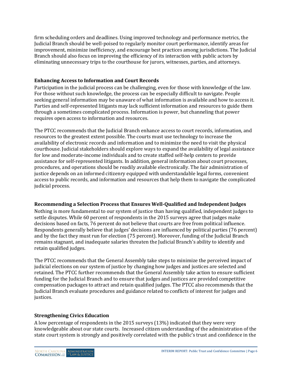firm scheduling orders and deadlines. Using improved technology and performance metrics, the Judicial Branch should be well-poised to regularly monitor court performance, identify areas for improvement, minimize inefficiency, and encourage best practices among jurisdictions. The Judicial Branch should also focus on improving the efficiency of its interaction with public actors by eliminating unnecessary trips to the courthouse for jurors, witnesses, parties, and attorneys.

## **Enhancing Access to Information and Court Records**

Participation in the judicial process can be challenging, even for those with knowledge of the law. For those without such knowledge, the process can be especially difficult to navigate. People seeking general information may be unaware of what information is available and how to access it. Parties and self-represented litigants may lack sufficient information and resources to guide them through a sometimes complicated process. Information is power, but channeling that power requires open access to information and resources.

The PTCC recommends that the Judicial Branch enhance access to court records, information, and resources to the greatest extent possible. The courts must use technology to increase the availability of electronic records and information and to minimize the need to visit the physical courthouse. Judicial stakeholders should explore ways to expand the availability of legal assistance for low and moderate-income individuals and to create staffed self-help centers to provide assistance for self-represented litigants. In addition, general information about court processes, procedures, and operations should be readily available electronically. The fair administration of justice depends on an informed citizenry equipped with understandable legal forms, convenient access to public records, and information and resources that help them to navigate the complicated judicial process.

### **Recommending a Selection Process that Ensures Well-Qualified and Independent Judges**

Nothing is more fundamental to our system of justice than having qualified, independent judges to settle disputes. While 60 percent of respondents in the 2015 surveys agree that judges make decisions based on facts, 76 percent do not believe that courts are free from political influence. Respondents generally believe that judges' decisions are influenced by political parties (76 percent) and by the fact they must run for election (75 percent). Moreover, funding of the Judicial Branch remains stagnant, and inadequate salaries threaten the Judicial Branch's ability to identify and retain qualified judges.

The PTCC recommends that the General Assembly take steps to minimize the perceived impact of judicial elections on our system of justice by changing how judges and justices are selected and retained. The PTCC further recommends that the General Assembly take action to ensure sufficient funding for the Judicial Branch and to ensure that judges and justices are provided competitive compensation packages to attract and retain qualified judges. The PTCC also recommends that the Judicial Branch evaluate procedures and guidance related to conflicts of interest for judges and justices.

## **Strengthening Civics Education**

A low percentage of respondents in the 2015 surveys (13%) indicated that they were very knowledgeable about our state courts. Increased citizen understanding of the administration of the state court system is strongly and positively correlated with the public's trust and confidence in the